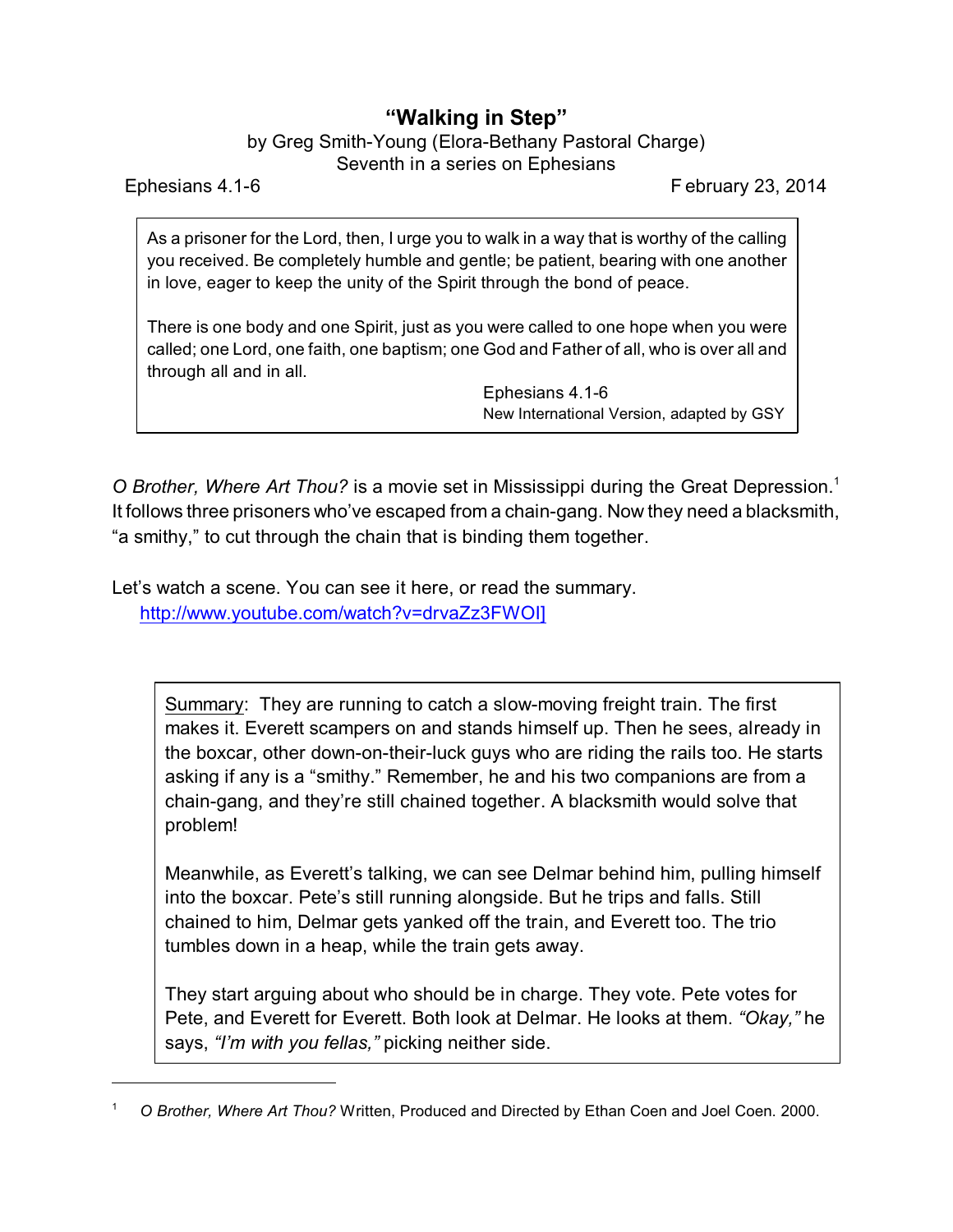## **"Walking in Step"**

by Greg Smith-Young (Elora-Bethany Pastoral Charge) Seventh in a series on Ephesians

Ephesians 4.1-6 February 23, 2014

As a prisoner for the Lord, then, I urge you to walk in a way that is worthy of the calling you received. Be completely humble and gentle; be patient, bearing with one another in love, eager to keep the unity of the Spirit through the bond of peace.

There is one body and one Spirit, just as you were called to one hope when you were called; one Lord, one faith, one baptism; one God and Father of all, who is over all and through all and in all.

> Ephesians 4.1-6 New International Version, adapted by GSY

*O Brother, Where Art Thou?* is a movie set in Mississippi during the Great Depression.<sup>1</sup> It follows three prisoners who've escaped from a chain-gang. Now they need a blacksmith, "a smithy," to cut through the chain that is binding them together.

Let's watch a scene. You can see it here, or read the summary. [http://www.youtube.com/watch?v=drvaZz3FWOI\]](http://www.youtube.com/watch?v=drvaZz3FWOI)

> Summary: They are running to catch a slow-moving freight train. The first makes it. Everett scampers on and stands himself up. Then he sees, already in the boxcar, other down-on-their-luck guys who are riding the rails too. He starts asking if any is a "smithy." Remember, he and his two companions are from a chain-gang, and they're still chained together. A blacksmith would solve that problem!

> Meanwhile, as Everett's talking, we can see Delmar behind him, pulling himself into the boxcar. Pete's still running alongside. But he trips and falls. Still chained to him, Delmar gets yanked off the train, and Everett too. The trio tumbles down in a heap, while the train gets away.

> They start arguing about who should be in charge. They vote. Pete votes for Pete, and Everett for Everett. Both look at Delmar. He looks at them. *"Okay,"* he says, *"I'm with you fellas,"* picking neither side.

<sup>1</sup> *O Brother, Where Art Thou?* Written, Produced and Directed by Ethan Coen and Joel Coen. 2000.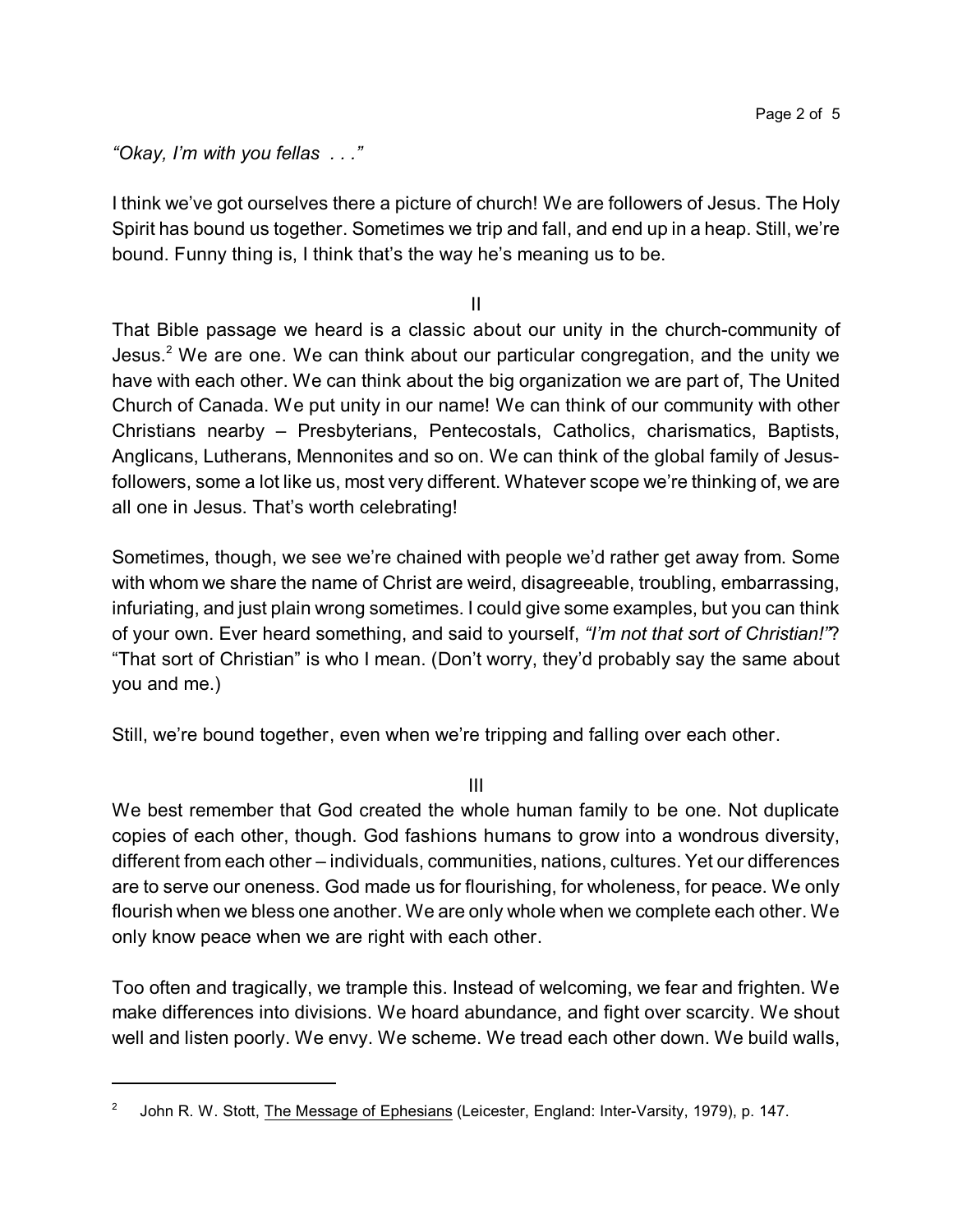*"Okay, I'm with you fellas . . ."*

I think we've got ourselves there a picture of church! We are followers of Jesus. The Holy Spirit has bound us together. Sometimes we trip and fall, and end up in a heap. Still, we're bound. Funny thing is, I think that's the way he's meaning us to be.

II

That Bible passage we heard is a classic about our unity in the church-community of Jesus.<sup>2</sup> We are one. We can think about our particular congregation, and the unity we have with each other. We can think about the big organization we are part of, The United Church of Canada. We put unity in our name! We can think of our community with other Christians nearby – Presbyterians, Pentecostals, Catholics, charismatics, Baptists, Anglicans, Lutherans, Mennonites and so on. We can think of the global family of Jesusfollowers, some a lot like us, most very different. Whatever scope we're thinking of, we are all one in Jesus. That's worth celebrating!

Sometimes, though, we see we're chained with people we'd rather get away from. Some with whom we share the name of Christ are weird, disagreeable, troubling, embarrassing, infuriating, and just plain wrong sometimes. I could give some examples, but you can think of your own. Ever heard something, and said to yourself, *"I'm not that sort of Christian!"*? "That sort of Christian" is who I mean. (Don't worry, they'd probably say the same about you and me.)

Still, we're bound together, even when we're tripping and falling over each other.

III

We best remember that God created the whole human family to be one. Not duplicate copies of each other, though. God fashions humans to grow into a wondrous diversity, different from each other – individuals, communities, nations, cultures. Yet our differences are to serve our oneness. God made us for flourishing, for wholeness, for peace. We only flourish when we bless one another. We are only whole when we complete each other. We only know peace when we are right with each other.

Too often and tragically, we trample this. Instead of welcoming, we fear and frighten. We make differences into divisions. We hoard abundance, and fight over scarcity. We shout well and listen poorly. We envy. We scheme. We tread each other down. We build walls,

<sup>2</sup> John R. W. Stott, The Message of Ephesians (Leicester, England: Inter-Varsity, 1979), p. 147.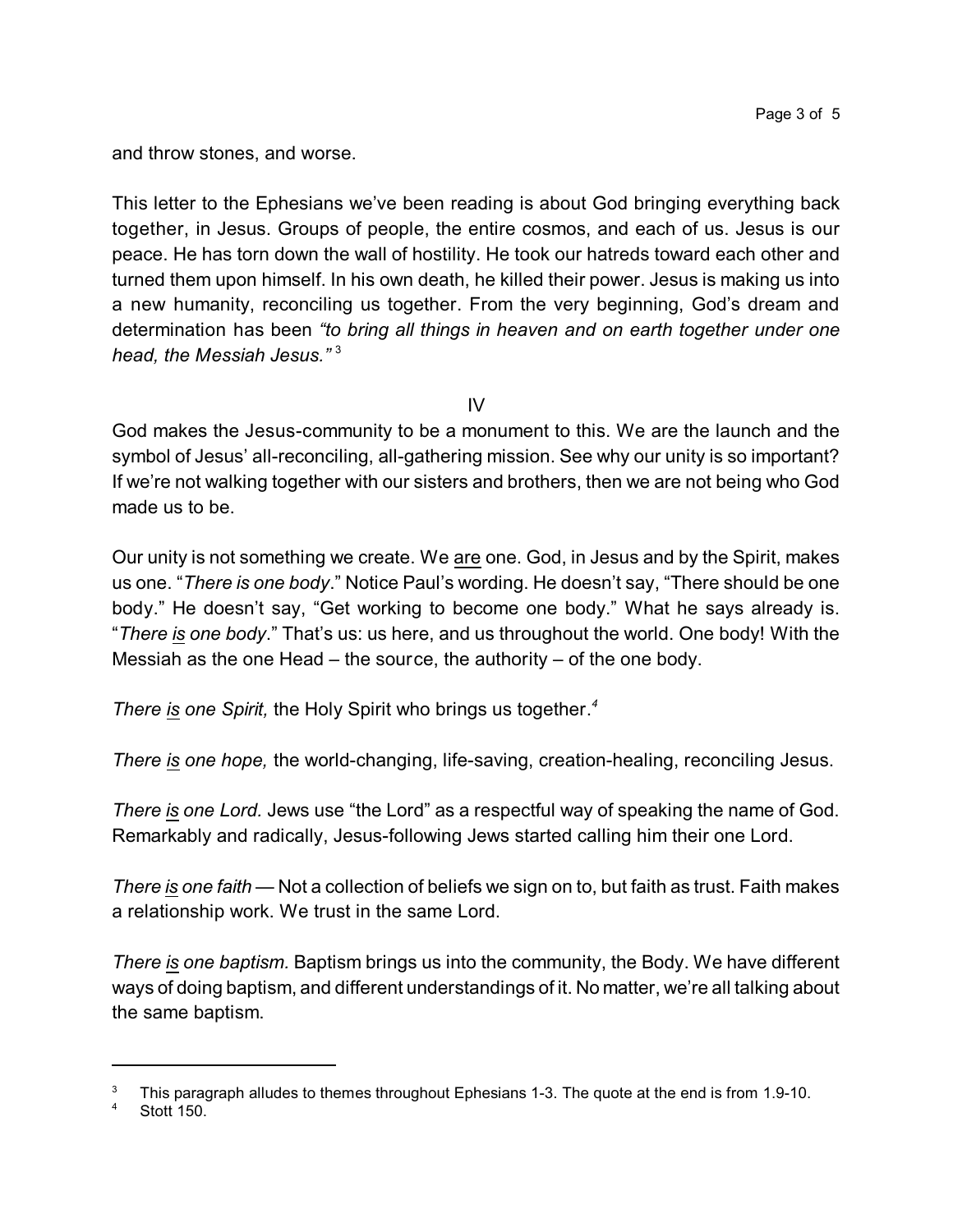and throw stones, and worse.

This letter to the Ephesians we've been reading is about God bringing everything back together, in Jesus. Groups of people, the entire cosmos, and each of us. Jesus is our peace. He has torn down the wall of hostility. He took our hatreds toward each other and turned them upon himself. In his own death, he killed their power. Jesus is making us into a new humanity, reconciling us together. From the very beginning, God's dream and determination has been *"to bring all things in heaven and on earth together under one head, the Messiah Jesus."* <sup>3</sup>

IV

God makes the Jesus-community to be a monument to this. We are the launch and the symbol of Jesus' all-reconciling, all-gathering mission. See why our unity is so important? If we're not walking together with our sisters and brothers, then we are not being who God made us to be.

Our unity is not something we create. We are one. God, in Jesus and by the Spirit, makes us one. "*There is one body*." Notice Paul's wording. He doesn't say, "There should be one body." He doesn't say, "Get working to become one body." What he says already is. "*There is one body*." That's us: us here, and us throughout the world. One body! With the Messiah as the one Head – the source, the authority – of the one body.

*There is one Spirit,* the Holy Spirit who brings us together. *4*

*There is one hope,* the world-changing, life-saving, creation-healing, reconciling Jesus.

*There is one Lord.* Jews use "the Lord" as a respectful way of speaking the name of God. Remarkably and radically, Jesus-following Jews started calling him their one Lord.

*There is one faith* — Not a collection of beliefs we sign on to, but faith as trust. Faith makes a relationship work. We trust in the same Lord.

*There is one baptism.* Baptism brings us into the community, the Body. We have different ways of doing baptism, and different understandings of it. No matter, we're all talking about the same baptism.

<sup>3</sup> This paragraph alludes to themes throughout Ephesians 1-3. The quote at the end is from 1.9-10.

**Stott 150.**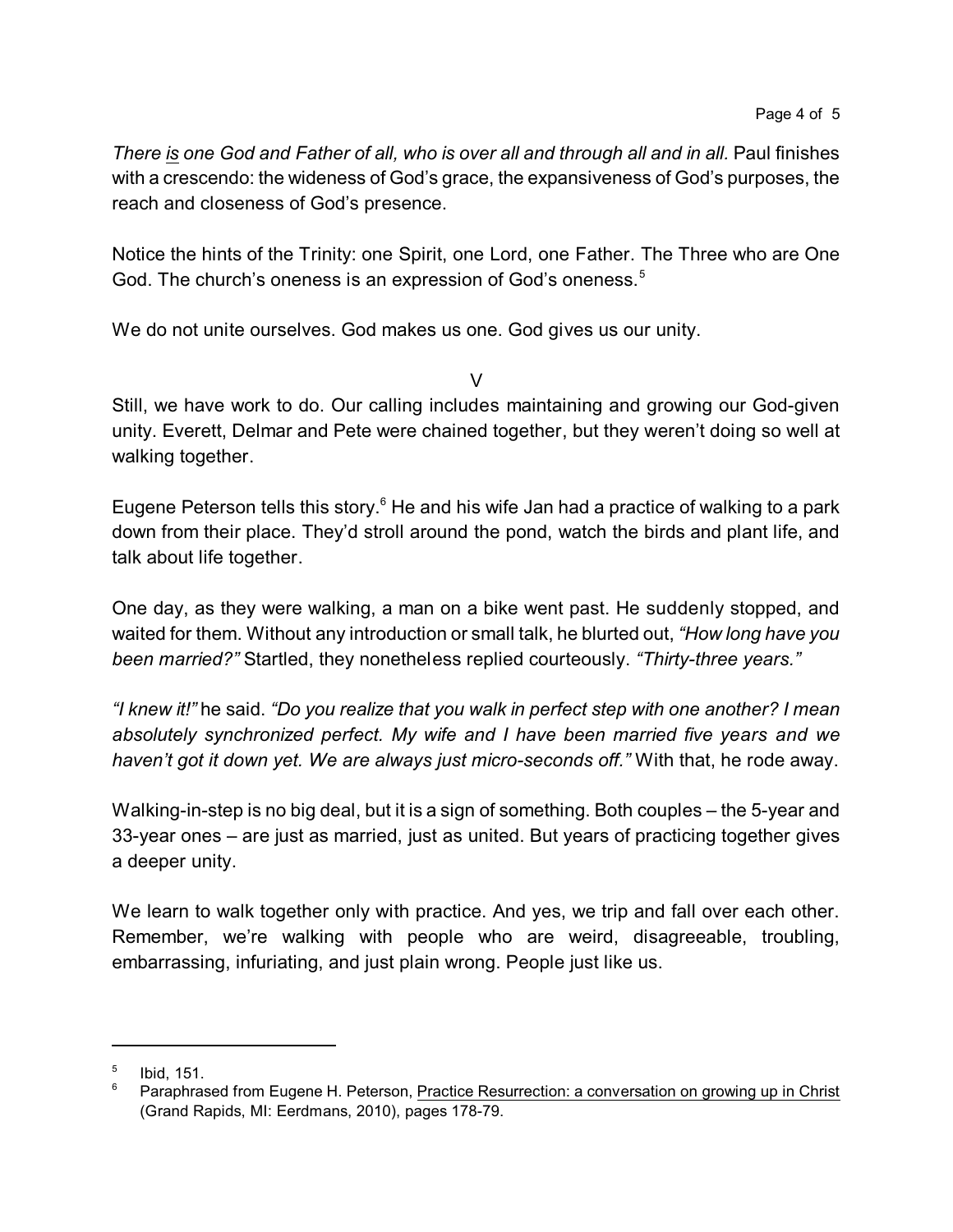*There is one God and Father of all, who is over all and through all and in all.* Paul finishes with a crescendo: the wideness of God's grace, the expansiveness of God's purposes, the reach and closeness of God's presence.

Notice the hints of the Trinity: one Spirit, one Lord, one Father. The Three who are One God. The church's oneness is an expression of God's oneness.<sup>5</sup>

We do not unite ourselves. God makes us one. God gives us our unity.

 $\vee$ 

Still, we have work to do. Our calling includes maintaining and growing our God-given unity. Everett, Delmar and Pete were chained together, but they weren't doing so well at walking together.

Eugene Peterson tells this story. $6$  He and his wife Jan had a practice of walking to a park down from their place. They'd stroll around the pond, watch the birds and plant life, and talk about life together.

One day, as they were walking, a man on a bike went past. He suddenly stopped, and waited for them. Without any introduction or small talk, he blurted out, *"How long have you been married?"* Startled, they nonetheless replied courteously. *"Thirty-three years."*

*"I knew it!"* he said. *"Do you realize that you walk in perfect step with one another? I mean absolutely synchronized perfect. My wife and I have been married five years and we haven't got it down yet. We are always just micro-seconds off."* With that, he rode away.

Walking-in-step is no big deal, but it is a sign of something. Both couples – the 5-year and 33-year ones – are just as married, just as united. But years of practicing together gives a deeper unity.

We learn to walk together only with practice. And yes, we trip and fall over each other. Remember, we're walking with people who are weird, disagreeable, troubling, embarrassing, infuriating, and just plain wrong. People just like us.

<sup>5</sup> Ibid, 151.

Paraphrased from Eugene H. Peterson, Practice Resurrection: a conversation on growing up in Christ (Grand Rapids, MI: Eerdmans, 2010), pages 178-79.